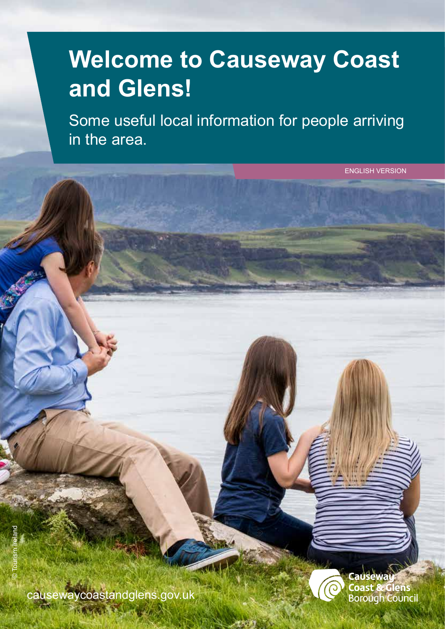# **Welcome to Causeway Coast and Glens!**

Some useful local information for people arriving in the area.

causewaycoastandglens.gov.uk

**MISCOLLA** 

ewa **Coast & Glens** Borough Council

ENGLISH VERSION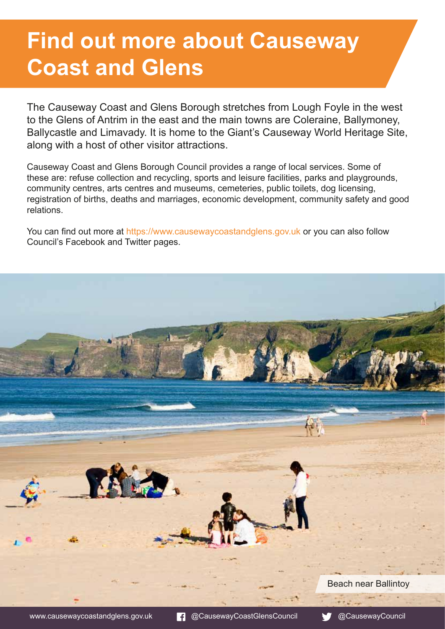# **Find out more about Causeway Coast and Glens**

The Causeway Coast and Glens Borough stretches from Lough Foyle in the west to the Glens of Antrim in the east and the main towns are Coleraine, Ballymoney, Ballycastle and Limavady. It is home to the Giant's Causeway World Heritage Site, along with a host of other visitor attractions.

Causeway Coast and Glens Borough Council provides a range of local services. Some of these are: refuse collection and recycling, sports and leisure facilities, parks and playgrounds, community centres, arts centres and museums, cemeteries, public toilets, dog licensing, registration of births, deaths and marriages, economic development, community safety and good relations.

You can find out more at <https://www.causewaycoastandglens.gov.uk> or you can also follow Council's Facebook and Twitter pages.

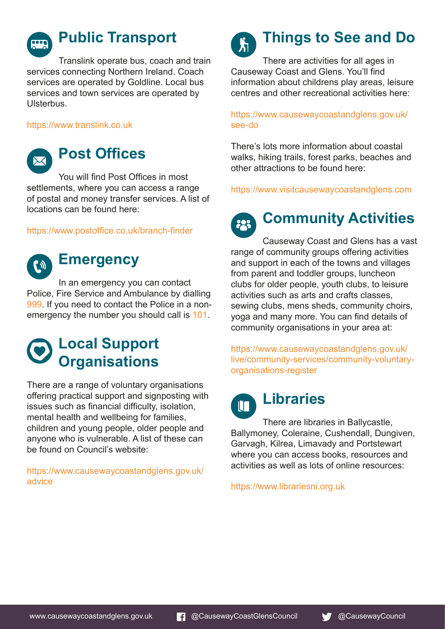

## **Public Transport**

Translink operate bus, coach and train services connecting Northern Ireland. Coach services are operated by Goldline. Local bus services and town services are operated by **Ulsterbus** 

<https://www.translink.co.uk>



## **Post Offices**

You will find Post Offices in most settlements, where you can access a range of postal and money transfer services. A list of locations can be found here:

#### <https://www.postoffice.co.uk/branch-finder>



## **Emergency**

In an emergency you can contact Police, Fire Service and Ambulance by dialling 999. If you need to contact the Police in a nonemergency the number you should call is 101.

## **Local Support Organisations**

There are a range of voluntary organisations offering practical support and signposting with issues such as financial difficulty, isolation, mental health and wellbeing for families, children and young people, older people and anyone who is vulnerable. A list of these can be found on Council's website:

[https://www.causewaycoastandglens.gov.uk/](https://www.causewaycoastandglens.gov.uk/advice) [advice](https://www.causewaycoastandglens.gov.uk/advice)



# **Things to See and Do**

There are activities for all ages in Causeway Coast and Glens. You'll find information about childrens play areas, leisure centres and other recreational activities here:

#### [https://www.causewaycoastandglens.gov.uk/](https://www.causewaycoastandglens.gov.uk/see-do) [see-do](https://www.causewaycoastandglens.gov.uk/see-do)

There's lots more information about coastal walks, hiking trails, forest parks, beaches and other attractions to be found here:

<https://www.visitcausewaycoastandglens.com>

#### **Community Activities** 223

Causeway Coast and Glens has a vast range of community groups offering activities and support in each of the towns and villages from parent and toddler groups, luncheon clubs for older people, youth clubs, to leisure activities such as arts and crafts classes, sewing clubs, mens sheds, community choirs, yoga and many more. You can find details of community organisations in your area at:

[https://www.causewaycoastandglens.gov.uk/](https://www.causewaycoastandglens.gov.uk/live/community-services/community-voluntary-organisations-register) [live/community-services/community-voluntary](https://www.causewaycoastandglens.gov.uk/live/community-services/community-voluntary-organisations-register)[organisations-register](https://www.causewaycoastandglens.gov.uk/live/community-services/community-voluntary-organisations-register)

## **Libraries**  $\mathsf{I}\mathsf{I}\mathsf{T}$

There are libraries in Ballycastle,

Ballymoney, Coleraine, Cushendall, Dungiven, Garvagh, Kilrea, Limavady and Portstewart where you can access books, resources and activities as well as lots of online resources:

<https://www.librariesni.org.uk>